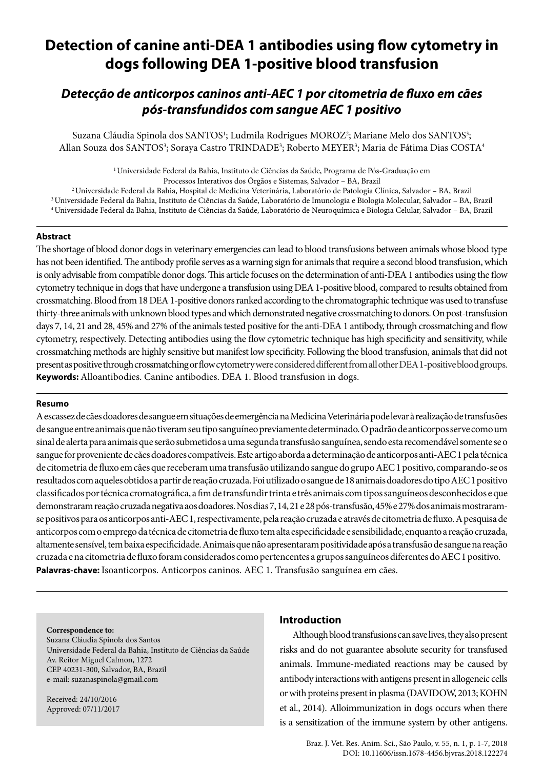# **Detection of canine anti-DEA 1 antibodies using flow cytometry in dogs following DEA 1-positive blood transfusion**

# *Detecção de anticorpos caninos anti-AEC 1 por citometria de fluxo em cães pós-transfundidos com sangue AEC 1 positivo*

Suzana Cláudia Spinola dos SANTOS<sup>1</sup>; Ludmila Rodrigues MOROZ<sup>2</sup>; Mariane Melo dos SANTOS<sup>3</sup>; Allan Souza dos SANTOS<sup>3</sup>; Soraya Castro TRINDADE<sup>3</sup>; Roberto MEYER<sup>3</sup>; Maria de Fátima Dias COSTA<sup>4</sup>

> 1 Universidade Federal da Bahia, Instituto de Ciências da Saúde, Programa de Pós-Graduação em Processos Interativos dos Órgãos e Sistemas, Salvador – BA, Brazil

2 Universidade Federal da Bahia, Hospital de Medicina Veterinária, Laboratório de Patologia Clínica, Salvador – BA, Brazil 3 Universidade Federal da Bahia, Instituto de Ciências da Saúde, Laboratório de Imunologia e Biologia Molecular, Salvador – BA, Brazil 4 Universidade Federal da Bahia, Instituto de Ciências da Saúde, Laboratório de Neuroquímica e Biologia Celular, Salvador – BA, Brazil

# **Abstract**

The shortage of blood donor dogs in veterinary emergencies can lead to blood transfusions between animals whose blood type has not been identified. The antibody profile serves as a warning sign for animals that require a second blood transfusion, which is only advisable from compatible donor dogs. This article focuses on the determination of anti-DEA 1 antibodies using the flow cytometry technique in dogs that have undergone a transfusion using DEA 1-positive blood, compared to results obtained from crossmatching. Blood from 18 DEA 1-positive donors ranked according to the chromatographic technique was used to transfuse thirty-three animals with unknown blood types and which demonstrated negative crossmatching to donors. On post-transfusion days 7, 14, 21 and 28, 45% and 27% of the animals tested positive for the anti-DEA 1 antibody, through crossmatching and flow cytometry, respectively. Detecting antibodies using the flow cytometric technique has high specificity and sensitivity, while crossmatching methods are highly sensitive but manifest low specificity. Following the blood transfusion, animals that did not present as positive through crossmatching or flow cytometry were considered different from all other DEA 1-positive blood groups. **Keywords:** Alloantibodies. Canine antibodies. DEA 1. Blood transfusion in dogs.

#### **Resumo**

A escassez de cães doadores de sangue em situações de emergência na Medicina Veterinária pode levar à realização de transfusões de sangue entre animais que não tiveram seu tipo sanguíneo previamente determinado. O padrão de anticorpos serve como um sinal de alerta para animais que serão submetidos a uma segunda transfusão sanguínea, sendo esta recomendável somente se o sangue for proveniente de cães doadores compatíveis. Este artigo aborda a determinação de anticorpos anti-AEC 1 pela técnica de citometria de fluxo em cães que receberam uma transfusão utilizando sangue do grupo AEC 1 positivo, comparando-se os resultados com aqueles obtidos a partir de reação cruzada. Foi utilizado o sangue de 18 animais doadores do tipo AEC 1 positivo classificados por técnica cromatográfica, a fim de transfundir trinta e três animais com tipos sanguíneos desconhecidos e que demonstraram reação cruzada negativa aos doadores. Nos dias 7, 14, 21 e 28 pós-transfusão, 45% e 27% dos animais mostraramse positivos para os anticorpos anti-AEC 1, respectivamente, pela reação cruzada e através de citometria de fluxo. A pesquisa de anticorpos com o emprego da técnica de citometria de fluxo tem alta especificidade e sensibilidade, enquanto a reação cruzada, altamente sensível, tem baixa especificidade. Animais que não apresentaram positividade após a transfusão de sangue na reação cruzada e na citometria de fluxo foram considerados como pertencentes a grupos sanguíneos diferentes do AEC 1 positivo. **Palavras-chave:** Isoanticorpos. Anticorpos caninos. AEC 1. Transfusão sanguínea em cães.

#### **Correspondence to:**

Suzana Cláudia Spinola dos Santos Universidade Federal da Bahia, Instituto de Ciências da Saúde Av. Reitor Miguel Calmon, 1272 CEP 40231-300, Salvador, BA, Brazil e-mail: suzanaspinola@gmail.com

Received: 24/10/2016 Approved: 07/11/2017

#### **Introduction**

Although blood transfusions can save lives, they also present risks and do not guarantee absolute security for transfused animals. Immune-mediated reactions may be caused by antibody interactions with antigens present in allogeneic cells or with proteins present in plasma (DAVIDOW, 2013; KOHN et al., 2014). Alloimmunization in dogs occurs when there is a sensitization of the immune system by other antigens.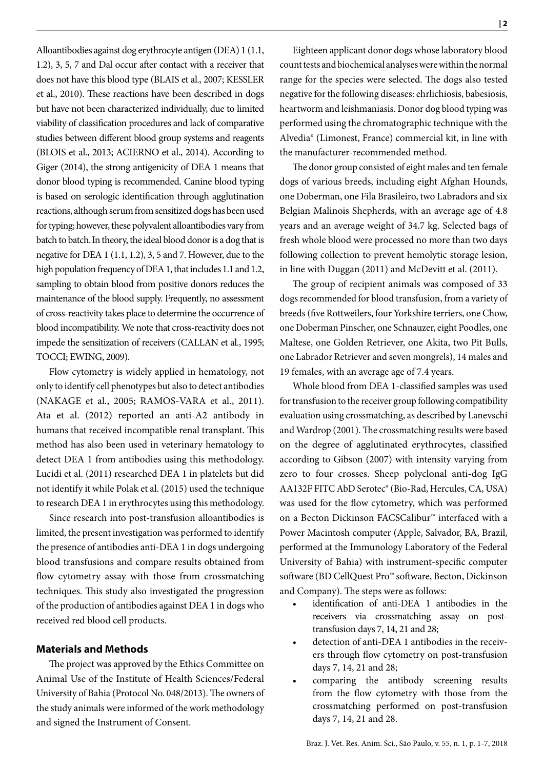Alloantibodies against dog erythrocyte antigen (DEA) 1 (1.1, 1.2), 3, 5, 7 and Dal occur after contact with a receiver that does not have this blood type (BLAIS et al., 2007; KESSLER et al., 2010). These reactions have been described in dogs but have not been characterized individually, due to limited viability of classification procedures and lack of comparative studies between different blood group systems and reagents (BLOIS et al., 2013; ACIERNO et al., 2014). According to Giger (2014), the strong antigenicity of DEA 1 means that donor blood typing is recommended. Canine blood typing is based on serologic identification through agglutination reactions, although serum from sensitized dogs has been used for typing; however, these polyvalent alloantibodies vary from batch to batch.In theory, the ideal blood donor is a dog that is negative for DEA 1 (1.1, 1.2), 3, 5 and 7. However, due to the high population frequency of DEA 1, that includes 1.1 and 1.2, sampling to obtain blood from positive donors reduces the maintenance of the blood supply. Frequently, no assessment of cross-reactivity takes place to determine the occurrence of blood incompatibility. We note that cross-reactivity does not impede the sensitization of receivers (CALLAN et al., 1995; TOCCI; EWING, 2009).

Flow cytometry is widely applied in hematology, not only to identify cell phenotypes but also to detect antibodies (NAKAGE et al., 2005; RAMOS-VARA et al., 2011). Ata et al. (2012) reported an anti-A2 antibody in humans that received incompatible renal transplant. This method has also been used in veterinary hematology to detect DEA 1 from antibodies using this methodology. Lucidi et al. (2011) researched DEA 1 in platelets but did not identify it while Polak et al. (2015) used the technique to research DEA 1 in erythrocytes using this methodology.

Since research into post-transfusion alloantibodies is limited, the present investigation was performed to identify the presence of antibodies anti-DEA 1 in dogs undergoing blood transfusions and compare results obtained from flow cytometry assay with those from crossmatching techniques. This study also investigated the progression of the production of antibodies against DEA 1 in dogs who received red blood cell products.

# **Materials and Methods**

The project was approved by the Ethics Committee on Animal Use of the Institute of Health Sciences/Federal University of Bahia (Protocol No. 048/2013). The owners of the study animals were informed of the work methodology and signed the Instrument of Consent.

Eighteen applicant donor dogs whose laboratory blood count tests and biochemical analyses were within the normal range for the species were selected. The dogs also tested negative for the following diseases: ehrlichiosis, babesiosis, heartworm and leishmaniasis. Donor dog blood typing was performed using the chromatographic technique with the Alvedia® (Limonest, France) commercial kit, in line with the manufacturer-recommended method.

The donor group consisted of eight males and ten female dogs of various breeds, including eight Afghan Hounds, one Doberman, one Fila Brasileiro, two Labradors and six Belgian Malinois Shepherds, with an average age of 4.8 years and an average weight of 34.7 kg. Selected bags of fresh whole blood were processed no more than two days following collection to prevent hemolytic storage lesion, in line with Duggan (2011) and McDevitt et al. (2011).

The group of recipient animals was composed of 33 dogs recommended for blood transfusion, from a variety of breeds (five Rottweilers, four Yorkshire terriers, one Chow, one Doberman Pinscher, one Schnauzer, eight Poodles, one Maltese, one Golden Retriever, one Akita, two Pit Bulls, one Labrador Retriever and seven mongrels), 14 males and 19 females, with an average age of 7.4 years.

Whole blood from DEA 1-classified samples was used for transfusion to the receiver group following compatibility evaluation using crossmatching, as described by Lanevschi and Wardrop (2001). The crossmatching results were based on the degree of agglutinated erythrocytes, classified according to Gibson (2007) with intensity varying from zero to four crosses. Sheep polyclonal anti-dog IgG AA132F FITC AbD Serotec® (Bio-Rad, Hercules, CA, USA) was used for the flow cytometry, which was performed on a Becton Dickinson FACSCalibur™ interfaced with a Power Macintosh computer (Apple, Salvador, BA, Brazil, performed at the Immunology Laboratory of the Federal University of Bahia) with instrument-specific computer software (BD CellQuest Pro™ software, Becton, Dickinson and Company). The steps were as follows:

- identification of anti-DEA 1 antibodies in the receivers via crossmatching assay on posttransfusion days 7, 14, 21 and 28;
- detection of anti-DEA 1 antibodies in the receivers through flow cytometry on post-transfusion days 7, 14, 21 and 28;
- comparing the antibody screening results from the flow cytometry with those from the crossmatching performed on post-transfusion days 7, 14, 21 and 28.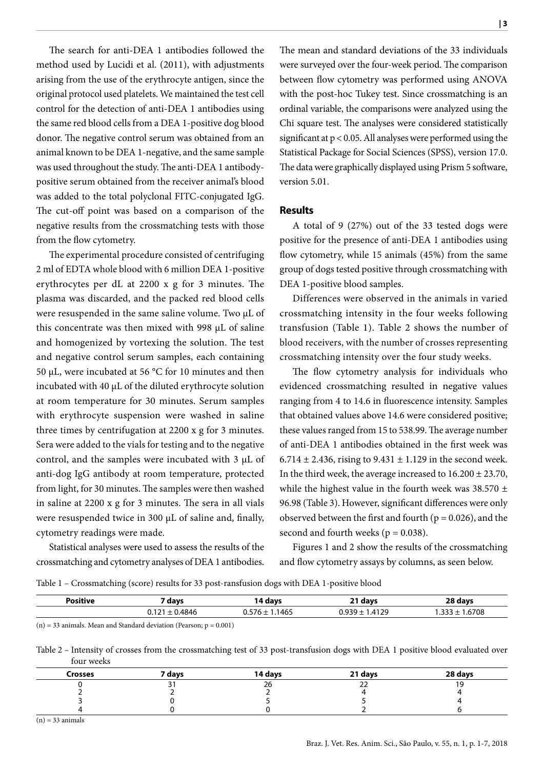The search for anti-DEA 1 antibodies followed the method used by Lucidi et al. (2011), with adjustments arising from the use of the erythrocyte antigen, since the original protocol used platelets. We maintained the test cell control for the detection of anti-DEA 1 antibodies using the same red blood cells from a DEA 1-positive dog blood donor. The negative control serum was obtained from an animal known to be DEA 1-negative, and the same sample was used throughout the study. The anti-DEA 1 antibodypositive serum obtained from the receiver animal's blood was added to the total polyclonal FITC-conjugated IgG. The cut-off point was based on a comparison of the negative results from the crossmatching tests with those from the flow cytometry.

The experimental procedure consisted of centrifuging 2 ml of EDTA whole blood with 6 million DEA 1-positive erythrocytes per dL at 2200 x g for 3 minutes. The plasma was discarded, and the packed red blood cells were resuspended in the same saline volume. Two µL of this concentrate was then mixed with 998 µL of saline and homogenized by vortexing the solution. The test and negative control serum samples, each containing 50 µL, were incubated at 56 °C for 10 minutes and then incubated with 40 µL of the diluted erythrocyte solution at room temperature for 30 minutes. Serum samples with erythrocyte suspension were washed in saline three times by centrifugation at 2200 x g for 3 minutes. Sera were added to the vials for testing and to the negative control, and the samples were incubated with 3 μL of anti-dog IgG antibody at room temperature, protected from light, for 30 minutes. The samples were then washed in saline at 2200 x g for 3 minutes. The sera in all vials were resuspended twice in 300 µL of saline and, finally, cytometry readings were made.

Statistical analyses were used to assess the results of the crossmatching and cytometry analyses of DEA 1 antibodies. The mean and standard deviations of the 33 individuals were surveyed over the four-week period. The comparison between flow cytometry was performed using ANOVA with the post-hoc Tukey test. Since crossmatching is an ordinal variable, the comparisons were analyzed using the Chi square test. The analyses were considered statistically significant at p < 0.05. All analyses were performed using the Statistical Package for Social Sciences (SPSS), version 17.0. The data were graphically displayed using Prism 5 software, version 5.01.

# **Results**

A total of 9 (27%) out of the 33 tested dogs were positive for the presence of anti-DEA 1 antibodies using flow cytometry, while 15 animals (45%) from the same group of dogs tested positive through crossmatching with DEA 1-positive blood samples.

Differences were observed in the animals in varied crossmatching intensity in the four weeks following transfusion (Table 1). Table 2 shows the number of blood receivers, with the number of crosses representing crossmatching intensity over the four study weeks.

The flow cytometry analysis for individuals who evidenced crossmatching resulted in negative values ranging from 4 to 14.6 in fluorescence intensity. Samples that obtained values above 14.6 were considered positive; these values ranged from 15 to 538.99. The average number of anti-DEA 1 antibodies obtained in the first week was 6.714  $\pm$  2.436, rising to 9.431  $\pm$  1.129 in the second week. In the third week, the average increased to  $16.200 \pm 23.70$ , while the highest value in the fourth week was  $38.570 \pm$ 96.98 (Table 3). However, significant differences were only observed between the first and fourth ( $p = 0.026$ ), and the second and fourth weeks ( $p = 0.038$ ).

Figures 1 and 2 show the results of the crossmatching and flow cytometry assays by columns, as seen below.

Table 1 – Crossmatching (score) results for 33 post-ransfusion dogs with DEA 1-positive blood

| Positive | days | days | 21 davs            | ገጻ days |
|----------|------|------|--------------------|---------|
|          | 4846 | 465  | 4129<br>4 I<br>U.J | .6708   |

 $(n) = 33$  animals. Mean and Standard deviation (Pearson;  $p = 0.001$ )

Table 2 – Intensity of crosses from the crossmatching test of 33 post-transfusion dogs with DEA 1 positive blood evaluated over four weeks

| <b>Crosses</b> | 7 days | 14 days | 21 days | 28 days |
|----------------|--------|---------|---------|---------|
|                |        | 26      |         |         |
|                |        |         |         |         |
|                |        |         |         |         |
|                |        |         |         |         |

 $(n) = 33$  animals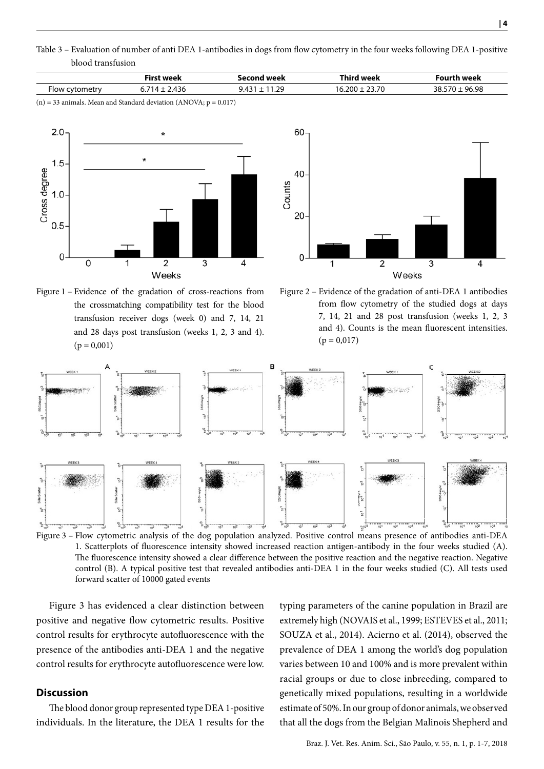Table 3 – Evaluation of number of anti DEA 1-antibodies in dogs from flow cytometry in the four weeks following DEA 1-positive blood transfusion

|             | ' weel<br>ü۳ | <b>u</b> nal | .<br>$\cdots$<br>$\sim$ $\sim$ $\sim$ $\sim$ $\sim$ | <b>urook</b><br>--<br>$\sim$ $\sim$ $\sim$ $\sim$ $\sim$ $\sim$ $\sim$ |
|-------------|--------------|--------------|-----------------------------------------------------|------------------------------------------------------------------------|
| $-$<br>⊦lov | ◡…           | ാവ<br>.      | ווי<br><u>16</u><br>. <i>.</i> .                    | IG 98                                                                  |

 $(n) = 33$  animals. Mean and Standard deviation (ANOVA;  $p = 0.017$ )



60 40 Counts 20 2 3  $\overline{4}$ Weeks

Figure 1 – Evidence of the gradation of cross-reactions from the crossmatching compatibility test for the blood transfusion receiver dogs (week 0) and 7, 14, 21 and 28 days post transfusion (weeks 1, 2, 3 and 4).  $(p = 0,001)$ 

Figure 2 – Evidence of the gradation of anti-DEA 1 antibodies from flow cytometry of the studied dogs at days 7, 14, 21 and 28 post transfusion (weeks 1, 2, 3 and 4). Counts is the mean fluorescent intensities.  $(p = 0.017)$ 



Figure 3 – Flow cytometric analysis of the dog population analyzed. Positive control means presence of antibodies anti-DEA 1. Scatterplots of fluorescence intensity showed increased reaction antigen-antibody in the four weeks studied (A). The fluorescence intensity showed a clear difference between the positive reaction and the negative reaction. Negative control (B). A typical positive test that revealed antibodies anti-DEA 1 in the four weeks studied (C). All tests used forward scatter of 10000 gated events

Figure 3 has evidenced a clear distinction between positive and negative flow cytometric results. Positive control results for erythrocyte autofluorescence with the presence of the antibodies anti-DEA 1 and the negative control results for erythrocyte autofluorescence were low.

# **Discussion**

The blood donor group represented type DEA 1-positive individuals. In the literature, the DEA 1 results for the typing parameters of the canine population in Brazil are extremely high (NOVAIS et al., 1999; ESTEVES et al., 2011; SOUZA et al., 2014). Acierno et al. (2014), observed the prevalence of DEA 1 among the world's dog population varies between 10 and 100% and is more prevalent within racial groups or due to close inbreeding, compared to genetically mixed populations, resulting in a worldwide estimate of 50%. In our group of donor animals, we observed that all the dogs from the Belgian Malinois Shepherd and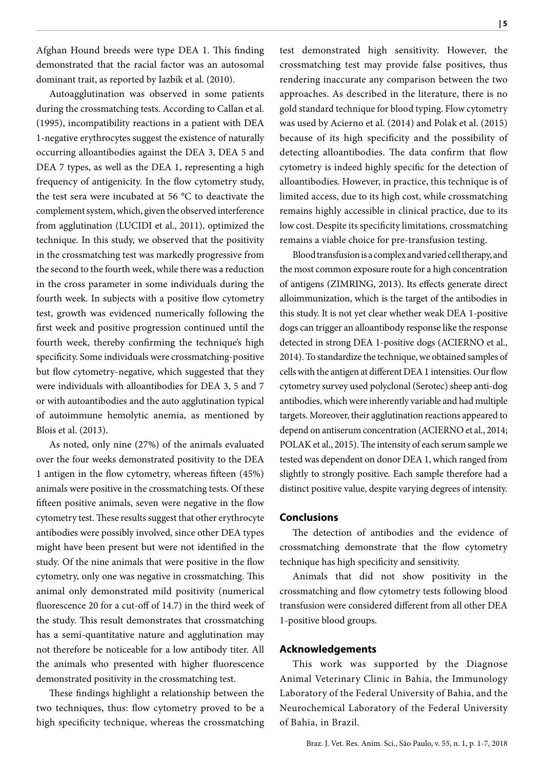Afghan Hound breeds were type DEA 1. This finding demonstrated that the racial factor was an autosomal dominant trait, as reported by Iazbik et al. (2010).

Autoagglutination was observed in some patients during the crossmatching tests. According to Callan et al. (1995), incompatibility reactions in a patient with DEA 1-negative erythrocytes suggest the existence of naturally occurring alloantibodies against the DEA 3, DEA 5 and DEA 7 types, as well as the DEA 1, representing a high frequency of antigenicity. In the flow cytometry study, the test sera were incubated at 56 °C to deactivate the complement system, which, given the observed interference from agglutination (LUCIDI et al., 2011), optimized the technique. In this study, we observed that the positivity in the crossmatching test was markedly progressive from the second to the fourth week, while there was a reduction in the cross parameter in some individuals during the fourth week. In subjects with a positive flow cytometry test, growth was evidenced numerically following the first week and positive progression continued until the fourth week, thereby confirming the technique's high specificity. Some individuals were crossmatching-positive but flow cytometry-negative, which suggested that they were individuals with alloantibodies for DEA 3, 5 and 7 or with autoantibodies and the auto agglutination typical of autoimmune hemolytic anemia, as mentioned by Blois et al. (2013).

As noted, only nine (27%) of the animals evaluated over the four weeks demonstrated positivity to the DEA 1 antigen in the flow cytometry, whereas fifteen (45%) animals were positive in the crossmatching tests. Of these fifteen positive animals, seven were negative in the flow cytometry test. These results suggest that other erythrocyte antibodies were possibly involved, since other DEA types might have been present but were not identified in the study. Of the nine animals that were positive in the flow cytometry, only one was negative in crossmatching. This animal only demonstrated mild positivity (numerical fluorescence 20 for a cut-off of 14.7) in the third week of the study. This result demonstrates that crossmatching has a semi-quantitative nature and agglutination may not therefore be noticeable for a low antibody titer. All the animals who presented with higher fluorescence demonstrated positivity in the crossmatching test.

These findings highlight a relationship between the two techniques, thus: flow cytometry proved to be a high specificity technique, whereas the crossmatching

test demonstrated high sensitivity. However, the crossmatching test may provide false positives, thus rendering inaccurate any comparison between the two approaches. As described in the literature, there is no gold standard technique for blood typing. Flow cytometry was used by Acierno et al. (2014) and Polak et al. (2015) because of its high specificity and the possibility of detecting alloantibodies. The data confirm that flow cytometry is indeed highly specific for the detection of alloantibodies. However, in practice, this technique is of limited access, due to its high cost, while crossmatching remains highly accessible in clinical practice, due to its low cost. Despite its specificity limitations, crossmatching remains a viable choice for pre-transfusion testing.

Blood transfusion is a complex and varied cell therapy, and the most common exposure route for a high concentration of antigens (ZIMRING, 2013). Its effects generate direct alloimmunization, which is the target of the antibodies in this study. It is not yet clear whether weak DEA 1-positive dogs can trigger an alloantibody response like the response detected in strong DEA 1-positive dogs (ACIERNO et al., 2014). To standardize the technique, we obtained samples of cells with the antigen at different DEA 1 intensities. Our flow cytometry survey used polyclonal (Serotec) sheep anti-dog antibodies, which were inherently variable and had multiple targets. Moreover, their agglutination reactions appeared to depend on antiserum concentration (ACIERNO et al., 2014; POLAK et al., 2015). The intensity of each serum sample we tested was dependent on donor DEA 1, which ranged from slightly to strongly positive. Each sample therefore had a distinct positive value, despite varying degrees of intensity.

#### **Conclusions**

The detection of antibodies and the evidence of crossmatching demonstrate that the flow cytometry technique has high specificity and sensitivity.

Animals that did not show positivity in the crossmatching and flow cytometry tests following blood transfusion were considered different from all other DEA 1-positive blood groups.

#### **Acknowledgements**

This work was supported by the Diagnose Animal Veterinary Clinic in Bahia, the Immunology Laboratory of the Federal University of Bahia, and the Neurochemical Laboratory of the Federal University of Bahia, in Brazil.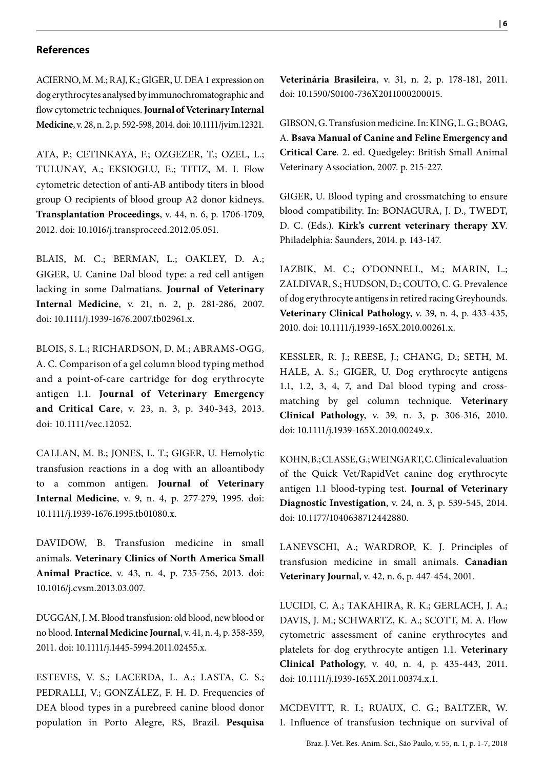# **References**

ACIERNO, M. M.; RAJ, K.; GIGER, U. DEA 1 expression on dog erythrocytes analysed by immunochromatographic and flow cytometric techniques. **Journal of Veterinary Internal Medicine**, v. 28, n. 2, p. 592-598, 2014. doi: 10.1111/jvim.12321.

ATA, P.; CETINKAYA, F.; OZGEZER, T.; OZEL, L.; TULUNAY, A.; EKSIOGLU, E.; TITIZ, M. I. Flow cytometric detection of anti-AB antibody titers in blood group O recipients of blood group A2 donor kidneys. **Transplantation Proceedings**, v. 44, n. 6, p. 1706-1709, 2012. doi: 10.1016/j.transproceed.2012.05.051.

BLAIS, M. C.; BERMAN, L.; OAKLEY, D. A.; GIGER, U. Canine Dal blood type: a red cell antigen lacking in some Dalmatians. **Journal of Veterinary Internal Medicine**, v. 21, n. 2, p. 281-286, 2007. doi: 10.1111/j.1939-1676.2007.tb02961.x.

BLOIS, S. L.; RICHARDSON, D. M.; ABRAMS-OGG, A. C. Comparison of a gel column blood typing method and a point-of-care cartridge for dog erythrocyte antigen 1.1. **Journal of Veterinary Emergency and Critical Care**, v. 23, n. 3, p. 340-343, 2013. doi: 10.1111/vec.12052.

CALLAN, M. B.; JONES, L. T.; GIGER, U. Hemolytic transfusion reactions in a dog with an alloantibody to a common antigen. **Journal of Veterinary Internal Medicine**, v. 9, n. 4, p. 277-279, 1995. doi: 10.1111/j.1939-1676.1995.tb01080.x.

DAVIDOW, B. Transfusion medicine in small animals. **Veterinary Clinics of North America Small Animal Practice**, v. 43, n. 4, p. 735-756, 2013. doi: 10.1016/j.cvsm.2013.03.007.

DUGGAN, J. M. Blood transfusion: old blood, new blood or no blood*.* **Internal Medicine Journal**, v. 41, n. 4, p. 358-359, 2011. doi: 10.1111/j.1445-5994.2011.02455.x.

ESTEVES, V. S.; LACERDA, L. A.; LASTA, C. S.; PEDRALLI, V.; GONZÁLEZ, F. H. D. Frequencies of DEA blood types in a purebreed canine blood donor population in Porto Alegre, RS, Brazil. **Pesquisa** 

**Veterinária Brasileira**, v. 31, n. 2, p. 178-181, 2011. doi: 10.1590/S0100-736X2011000200015.

GIBSON, G. Transfusion medicine. In: KING, L. G.; BOAG, A. **Bsava Manual of Canine and Feline Emergency and Critical Care***.* 2. ed. Quedgeley: British Small Animal Veterinary Association, 2007. p. 215-227.

GIGER, U. Blood typing and crossmatching to ensure blood compatibility. In: BONAGURA, J. D., TWEDT, D. C. (Eds.). **Kirk's current veterinary therapy XV**. Philadelphia: Saunders, 2014. p. 143-147.

IAZBIK, M. C.; O'DONNELL, M.; MARIN, L.; ZALDIVAR, S.; HUDSON, D.; COUTO, C. G. Prevalence of dog erythrocyte antigens in retired racing Greyhounds. **Veterinary Clinical Pathology**, v. 39, n. 4, p. 433-435, 2010. doi: 10.1111/j.1939-165X.2010.00261.x.

KESSLER, R. J.; REESE, J.; CHANG, D.; SETH, M. HALE, A. S.; GIGER, U. Dog erythrocyte antigens 1.1, 1.2, 3, 4, 7, and Dal blood typing and crossmatching by gel column technique. **Veterinary Clinical Pathology**, v. 39, n. 3, p. 306-316, 2010. doi: 10.1111/j.1939-165X.2010.00249.x.

KOHN, B.; CLASSE, G.; WEINGART, C. Clinical evaluation of the Quick Vet/RapidVet canine dog erythrocyte antigen 1.1 blood-typing test. **Journal of Veterinary Diagnostic Investigation**, v. 24, n. 3, p. 539-545, 2014. doi: 10.1177/1040638712442880.

LANEVSCHI, A.; WARDROP, K. J. Principles of transfusion medicine in small animals. **Canadian Veterinary Journal**, v. 42, n. 6, p. 447-454, 2001.

LUCIDI, C. A.; TAKAHIRA, R. K.; GERLACH, J. A.; DAVIS, J. M.; SCHWARTZ, K. A.; SCOTT, M. A. Flow cytometric assessment of canine erythrocytes and platelets for dog erythrocyte antigen 1.1. **Veterinary Clinical Pathology**, v. 40, n. 4, p. 435-443, 2011. doi: 10.1111/j.1939-165X.2011.00374.x.1.

MCDEVITT, R. I.; RUAUX, C. G.; BALTZER, W. I. Influence of transfusion technique on survival of